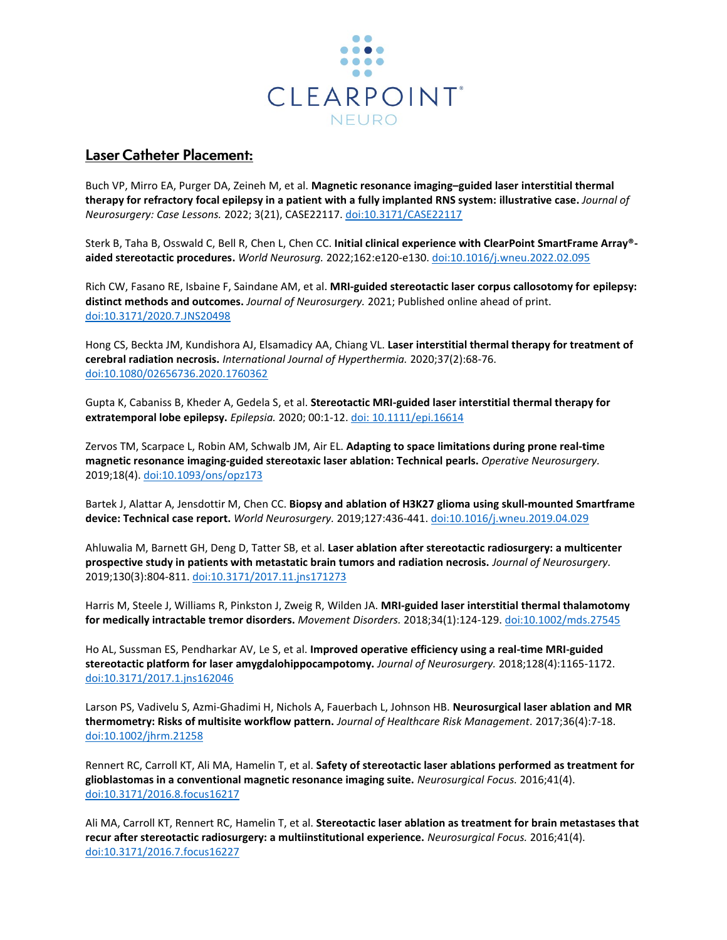

## **Laser Catheter Placement:**

Buch VP, Mirro EA, Purger DA, Zeineh M, et al. **Magnetic resonance imaging–guided laser interstitial thermal therapy for refractory focal epilepsy in a patient with a fully implanted RNS system: illustrative case.** *Journal of Neurosurgery: Case Lessons.* 2022; 3(21), CASE22117. [doi:10.3171/CASE22117](https://thejns.org/caselessons/view/journals/j-neurosurg-case-lessons/3/21/article-CASE22117.xml)

Sterk B, Taha B, Osswald C, Bell R, Chen L, Chen CC. **Initial clinical experience with ClearPoint SmartFrame Array® aided stereotactic procedures.** *World Neurosurg.* 2022;162:e120-e130. [doi:10.1016/j.wneu.2022.02.095](https://www.sciencedirect.com/science/article/pii/S187887502200242X?via%3Dihub)

Rich CW, Fasano RE, Isbaine F, Saindane AM, et al. **MRI-guided stereotactic laser corpus callosotomy for epilepsy: distinct methods and outcomes.** *Journal of Neurosurgery.* 2021; Published online ahead of print. [doi:10.3171/2020.7.JNS20498](https://thejns.org/view/journals/j-neurosurg/aop/article-10.3171-2020.7.JNS20498/article-10.3171-2020.7.JNS20498.xml)

Hong CS, Beckta JM, Kundishora AJ, Elsamadicy AA, Chiang VL. **Laser interstitial thermal therapy for treatment of cerebral radiation necrosis.** *International Journal of Hyperthermia.* 2020;37(2):68-76. [doi:10.1080/02656736.2020.1760362](https://www.tandfonline.com/doi/full/10.1080/02656736.2020.1760362)

Gupta K, Cabaniss B, Kheder A, Gedela S, et al. **Stereotactic MRI-guided laser interstitial thermal therapy for extratemporal lobe epilepsy.** *Epilepsia.* 2020; 00:1-12. [doi: 10.1111/epi.16614](https://onlinelibrary.wiley.com/doi/full/10.1111/epi.16614)

Zervos TM, Scarpace L, Robin AM, Schwalb JM, Air EL. **Adapting to space limitations during prone real-time magnetic resonance imaging-guided stereotaxic laser ablation: Technical pearls.** *Operative Neurosurgery.* 2019;18(4). [doi:10.1093/ons/opz173](https://academic.oup.com/ons/article-abstract/18/4/398/5523883?redirectedFrom=fulltext)

Bartek J, Alattar A, Jensdottir M, Chen CC. **Biopsy and ablation of H3K27 glioma using skull-mounted Smartframe device: Technical case report.** *World Neurosurgery.* 2019;127:436-441. [doi:10.1016/j.wneu.2019.04.029](https://www.sciencedirect.com/science/article/abs/pii/S1878875019310216?via%3Dihub)

Ahluwalia M, Barnett GH, Deng D, Tatter SB, et al. **Laser ablation after stereotactic radiosurgery: a multicenter prospective study in patients with metastatic brain tumors and radiation necrosis.** *Journal of Neurosurgery.* 2019;130(3):804-811. [doi:10.3171/2017.11.jns171273](https://thejns.org/view/journals/j-neurosurg/130/3/article-p804.xml)

Harris M, Steele J, Williams R, Pinkston J, Zweig R, Wilden JA. **MRI-guided laser interstitial thermal thalamotomy for medically intractable tremor disorders.** *Movement Disorders.* 2018;34(1):124-129[. doi:10.1002/mds.27545](https://onlinelibrary.wiley.com/doi/abs/10.1002/mds.27545)

Ho AL, Sussman ES, Pendharkar AV, Le S, et al. **Improved operative efficiency using a real-time MRI-guided stereotactic platform for laser amygdalohippocampotomy.** *Journal of Neurosurgery.* 2018;128(4):1165-1172. [doi:10.3171/2017.1.jns162046](https://thejns.org/view/journals/j-neurosurg/128/4/article-p1165.xml)

Larson PS, Vadivelu S, Azmi-Ghadimi H, Nichols A, Fauerbach L, Johnson HB. **Neurosurgical laser ablation and MR thermometry: Risks of multisite workflow pattern.** *Journal of Healthcare Risk Management.* 2017;36(4):7-18. [doi:10.1002/jhrm.21258](https://onlinelibrary.wiley.com/doi/abs/10.1002/jhrm.21258)

Rennert RC, Carroll KT, Ali MA, Hamelin T, et al. **Safety of stereotactic laser ablations performed as treatment for glioblastomas in a conventional magnetic resonance imaging suite.** *Neurosurgical Focus.* 2016;41(4). [doi:10.3171/2016.8.focus16217](https://thejns.org/focus/view/journals/neurosurg-focus/41/4/article-pE7.xml)

Ali MA, Carroll KT, Rennert RC, Hamelin T, et al. **Stereotactic laser ablation as treatment for brain metastases that recur after stereotactic radiosurgery: a multiinstitutional experience.** *Neurosurgical Focus.* 2016;41(4). [doi:10.3171/2016.7.focus16227](https://thejns.org/focus/view/journals/neurosurg-focus/41/4/article-pE11.xml)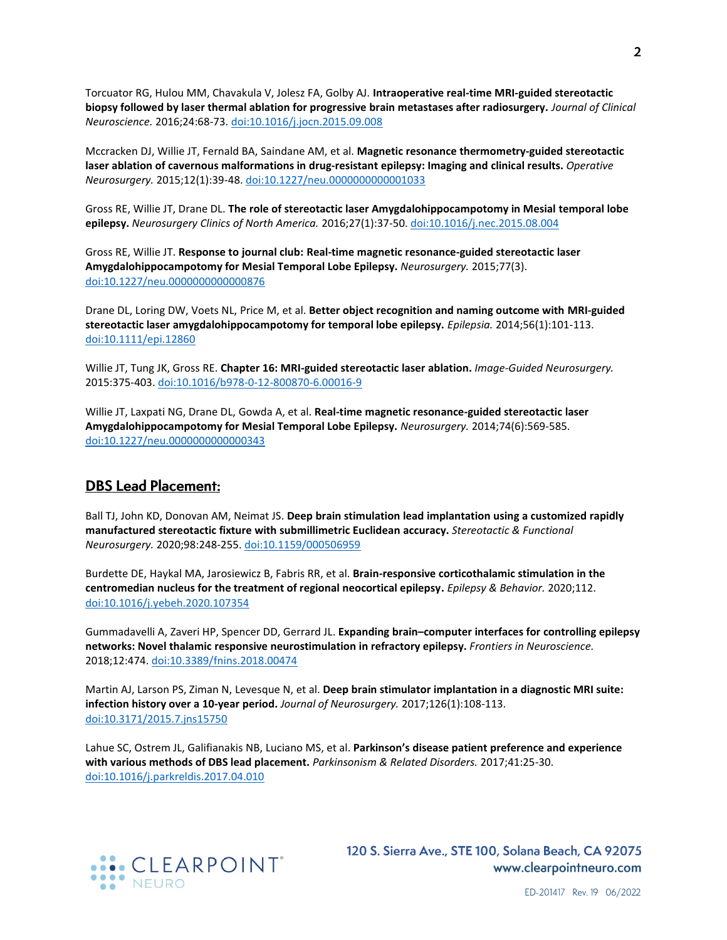Torcuator RG, Hulou MM, Chavakula V, Jolesz FA, Golby AJ. **Intraoperative real-time MRI-guided stereotactic biopsy followed by laser thermal ablation for progressive brain metastases after radiosurgery.** *Journal of Clinical Neuroscience.* 2016;24:68-73. [doi:10.1016/j.jocn.2015.09.008](https://www.jocn-journal.com/article/S0967-5868(15)00483-X/fulltext)

Mccracken DJ, Willie JT, Fernald BA, Saindane AM, et al. **Magnetic resonance thermometry-guided stereotactic laser ablation of cavernous malformations in drug-resistant epilepsy: Imaging and clinical results.** *Operative Neurosurgery.* 2015;12(1):39-48. [doi:10.1227/neu.0000000000001033](https://academic.oup.com/ons/article-abstract/12/1/39/2556105?redirectedFrom=fulltext)

Gross RE, Willie JT, Drane DL. **The role of stereotactic laser Amygdalohippocampotomy in Mesial temporal lobe epilepsy.** *Neurosurgery Clinics of North America.* 2016;27(1):37-50. [doi:10.1016/j.nec.2015.08.004](https://www.sciencedirect.com/science/article/pii/S1042368015000893?via%3Dihub)

Gross RE, Willie JT. **Response to journal club: Real-time magnetic resonance-guided stereotactic laser Amygdalohippocampotomy for Mesial Temporal Lobe Epilepsy.** *Neurosurgery.* 2015;77(3). [doi:10.1227/neu.0000000000000876](https://academic.oup.com/neurosurgery/article-abstract/77/3/E502/2452222?redirectedFrom=fulltext)

Drane DL, Loring DW, Voets NL, Price M, et al. **Better object recognition and naming outcome with MRI-guided stereotactic laser amygdalohippocampotomy for temporal lobe epilepsy.** *Epilepsia.* 2014;56(1):101-113. [doi:10.1111/epi.12860](https://onlinelibrary.wiley.com/doi/full/10.1111/epi.12860)

Willie JT, Tung JK, Gross RE. **Chapter 16: MRI-guided stereotactic laser ablation.** *Image-Guided Neurosurgery.* 2015:375-403. [doi:10.1016/b978-0-12-800870-6.00016-9](https://www.sciencedirect.com/science/article/pii/B9780128008706000169?via%3Dihub)

Willie JT, Laxpati NG, Drane DL, Gowda A, et al. **Real-time magnetic resonance-guided stereotactic laser Amygdalohippocampotomy for Mesial Temporal Lobe Epilepsy.** *Neurosurgery.* 2014;74(6):569-585. [doi:10.1227/neu.0000000000000343](https://academic.oup.com/neurosurgery/article/74/6/569/2557365)

## **DBS Lead Placement:**

Ball TJ, John KD, Donovan AM, Neimat JS. **Deep brain stimulation lead implantation using a customized rapidly manufactured stereotactic fixture with submillimetric Euclidean accuracy.** *Stereotactic & Functional Neurosurgery.* 2020;98:248-255. [doi:10.1159/000506959](https://www.karger.com/Article/Abstract/506959)

Burdette DE, Haykal MA, Jarosiewicz B, Fabris RR, et al. **Brain-responsive corticothalamic stimulation in the centromedian nucleus for the treatment of regional neocortical epilepsy.** *Epilepsy & Behavior.* 2020;112. [doi:10.1016/j.yebeh.2020.107354](https://www.epilepsybehavior.com/article/S1525-5050(20)30533-3/fulltext#secst0005)

Gummadavelli A, Zaveri HP, Spencer DD, Gerrard JL. **Expanding brain–computer interfaces for controlling epilepsy networks: Novel thalamic responsive neurostimulation in refractory epilepsy.** *Frontiers in Neuroscience.* 2018;12:474. [doi:10.3389/fnins.2018.00474](https://www.frontiersin.org/articles/10.3389/fnins.2018.00474/full)

Martin AJ, Larson PS, Ziman N, Levesque N, et al. **Deep brain stimulator implantation in a diagnostic MRI suite: infection history over a 10-year period.** *Journal of Neurosurgery.* 2017;126(1):108-113. [doi:10.3171/2015.7.jns15750](https://thejns.org/view/journals/j-neurosurg/126/1/article-p108.xml)

Lahue SC, Ostrem JL, Galifianakis NB, Luciano MS, et al. **Parkinson's disease patient preference and experience with various methods of DBS lead placement.** *Parkinsonism & Related Disorders.* 2017;41:25-30. [doi:10.1016/j.parkreldis.2017.04.010](https://www.prd-journal.com/article/S1353-8020(17)30141-4/fulltext)



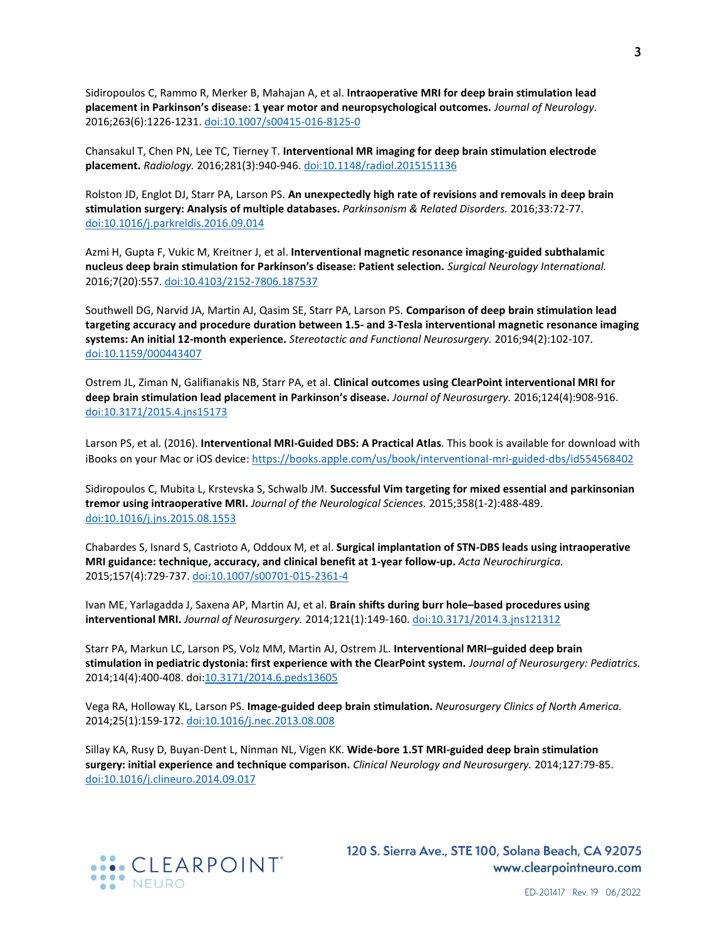Sidiropoulos C, Rammo R, Merker B, Mahajan A, et al. **Intraoperative MRI for deep brain stimulation lead placement in Parkinson's disease: 1 year motor and neuropsychological outcomes.** *Journal of Neurology.* 2016;263(6):1226-1231[. doi:10.1007/s00415-016-8125-0](https://link.springer.com/article/10.1007%2Fs00415-016-8125-0)

Chansakul T, Chen PN, Lee TC, Tierney T. **Interventional MR imaging for deep brain stimulation electrode placement.** *Radiology.* 2016;281(3):940-946. [doi:10.1148/radiol.2015151136](https://pubs.rsna.org/doi/10.1148/radiol.2015151136)

Rolston JD, Englot DJ, Starr PA, Larson PS. **An unexpectedly high rate of revisions and removals in deep brain stimulation surgery: Analysis of multiple databases.** *Parkinsonism & Related Disorders.* 2016;33:72-77. [doi:10.1016/j.parkreldis.2016.09.014](https://www.prd-journal.com/article/S1353-8020(16)30339-X/fulltext)

Azmi H, Gupta F, Vukic M, Kreitner J, et al. **Interventional magnetic resonance imaging-guided subthalamic nucleus deep brain stimulation for Parkinson′s disease: Patient selection.** *Surgical Neurology International.*  2016;7(20):557. [doi:10.4103/2152-7806.187537](https://surgicalneurologyint.com/surgicalint-articles/interventional-magnetic-resonance-imaging-guided-subthalamic-nucleus-deep-brain-stimulation-for-parkinsons-disease-patient-selection/)

Southwell DG, Narvid JA, Martin AJ, Qasim SE, Starr PA, Larson PS. **Comparison of deep brain stimulation lead targeting accuracy and procedure duration between 1.5- and 3-Tesla interventional magnetic resonance imaging systems: An initial 12-month experience.** *Stereotactic and Functional Neurosurgery.* 2016;94(2):102-107. [doi:10.1159/000443407](https://www.karger.com/Article/Abstract/443407)

Ostrem JL, Ziman N, Galifianakis NB, Starr PA, et al. **Clinical outcomes using ClearPoint interventional MRI for deep brain stimulation lead placement in Parkinson's disease.** *Journal of Neurosurgery.* 2016;124(4):908-916. [doi:10.3171/2015.4.jns15173](https://thejns.org/view/journals/j-neurosurg/124/4/article-p908.xml)

Larson PS, et al. (2016). **Interventional MRI-Guided DBS: A Practical Atlas**. This book is available for download with iBooks on your Mac or iOS device[: https://books.apple.com/us/book/interventional-mri-guided-dbs/id554568402](https://books.apple.com/us/book/interventional-mri-guided-dbs/id554568402)

Sidiropoulos C, Mubita L, Krstevska S, Schwalb JM. **Successful Vim targeting for mixed essential and parkinsonian tremor using intraoperative MRI.** *Journal of the Neurological Sciences.* 2015;358(1-2):488-489. [doi:10.1016/j.jns.2015.08.1553](https://www.jns-journal.com/article/S0022-510X(15)02049-3/fulltext)

Chabardes S, Isnard S, Castrioto A, Oddoux M, et al. **Surgical implantation of STN-DBS leads using intraoperative MRI guidance: technique, accuracy, and clinical benefit at 1-year follow-up.** *Acta Neurochirurgica.* 2015;157(4):729-737. [doi:10.1007/s00701-015-2361-4](https://link.springer.com/article/10.1007%2Fs00701-015-2361-4)

Ivan ME, Yarlagadda J, Saxena AP, Martin AJ, et al. **Brain shifts during burr hole–based procedures using interventional MRI.** *Journal of Neurosurgery.* 2014;121(1):149-160[. doi:10.3171/2014.3.jns121312](https://thejns.org/view/journals/j-neurosurg/121/1/article-p149.xml)

Starr PA, Markun LC, Larson PS, Volz MM, Martin AJ, Ostrem JL. **Interventional MRI–guided deep brain stimulation in pediatric dystonia: first experience with the ClearPoint system.** *Journal of Neurosurgery: Pediatrics.* 2014;14(4):400-408. doi[:10.3171/2014.6.peds13605](https://thejns.org/pediatrics/view/journals/j-neurosurg-pediatr/14/4/article-p400.xml)

Vega RA, Holloway KL, Larson PS. **Image-guided deep brain stimulation.** *Neurosurgery Clinics of North America.*  2014;25(1):159-172. [doi:10.1016/j.nec.2013.08.008](https://www.sciencedirect.com/science/article/pii/S1042368013000843?via%3Dihub)

Sillay KA, Rusy D, Buyan-Dent L, Ninman NL, Vigen KK. **Wide-bore 1.5T MRI-guided deep brain stimulation surgery: initial experience and technique comparison.** *Clinical Neurology and Neurosurgery.* 2014;127:79-85. [doi:10.1016/j.clineuro.2014.09.017](https://www.sciencedirect.com/science/article/abs/pii/S0303846714003795?via%3Dihub)



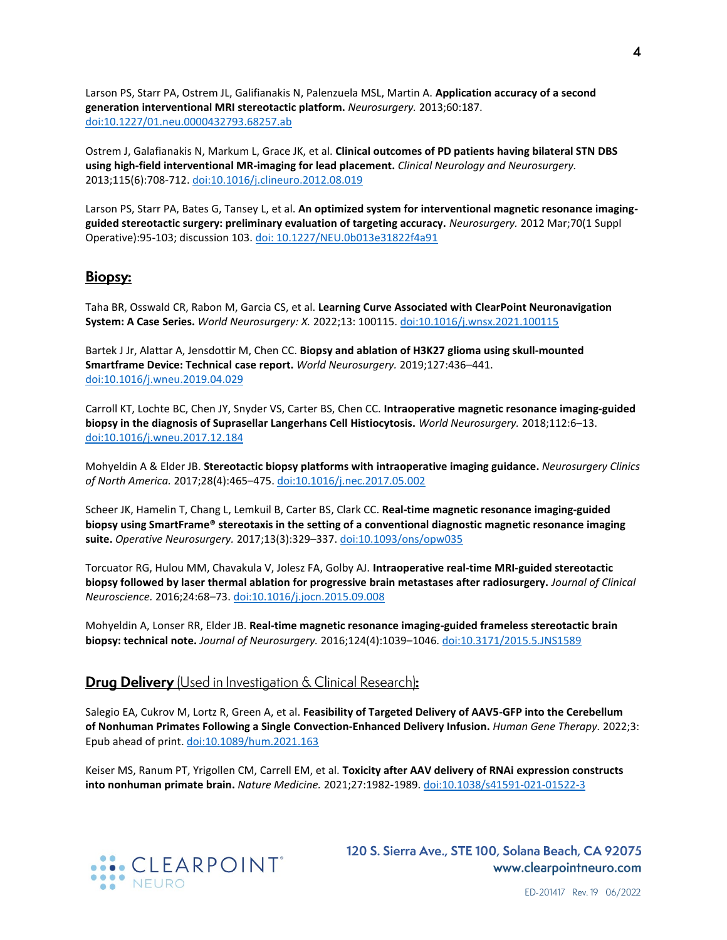Larson PS, Starr PA, Ostrem JL, Galifianakis N, Palenzuela MSL, Martin A. **Application accuracy of a second generation interventional MRI stereotactic platform.** *Neurosurgery.* 2013;60:187. [doi:10.1227/01.neu.0000432793.68257.ab](https://academic.oup.com/neurosurgery/article-abstract/60/CN_suppl_1/187/2595596?redirectedFrom=fulltext)

Ostrem J, Galafianakis N, Markum L, Grace JK, et al. **Clinical outcomes of PD patients having bilateral STN DBS using high-field interventional MR-imaging for lead placement.** *Clinical Neurology and Neurosurgery.*  2013;115(6):708-712. [doi:10.1016/j.clineuro.2012.08.019](https://www.sciencedirect.com/science/article/abs/pii/S0303846712004441?via%3Dihub)

Larson PS, Starr PA, Bates G, Tansey L, et al. **An optimized system for interventional magnetic resonance imagingguided stereotactic surgery: preliminary evaluation of targeting accuracy.** *Neurosurgery.* 2012 Mar;70(1 Suppl Operative):95-103; discussion 103. [doi: 10.1227/NEU.0b013e31822f4a91](https://academic.oup.com/ons/article/70/suppl_1/ons95/2408667)

## **Biopsy:**

Taha BR, Osswald CR, Rabon M, Garcia CS, et al. **Learning Curve Associated with ClearPoint Neuronavigation System: A Case Series.** *World Neurosurgery: X.* 2022;13: 100115. [doi:10.1016/j.wnsx.2021.100115](https://www.sciencedirect.com/science/article/pii/S2590139721000181?via%3Dihub)

Bartek J Jr, Alattar A, Jensdottir M, Chen CC. **Biopsy and ablation of H3K27 glioma using skull-mounted Smartframe Device: Technical case report.** *World Neurosurgery.* 2019;127:436–441. [doi:10.1016/j.wneu.2019.04.029](https://www.sciencedirect.com/science/article/abs/pii/S1878875019310216?via%3Dihub)

Carroll KT, Lochte BC, Chen JY, Snyder VS, Carter BS, Chen CC. **Intraoperative magnetic resonance imaging-guided biopsy in the diagnosis of Suprasellar Langerhans Cell Histiocytosis.** *World Neurosurgery.* 2018;112:6–13. [doi:10.1016/j.wneu.2017.12.184](https://www.sciencedirect.com/science/article/abs/pii/S1878875018300391?via%3Dihub)

Mohyeldin A & Elder JB. **Stereotactic biopsy platforms with intraoperative imaging guidance.** *Neurosurgery Clinics of North America.* 2017;28(4):465–475[. doi:10.1016/j.nec.2017.05.002](https://www.sciencedirect.com/science/article/pii/S1042368017300608?via%3Dihub)

Scheer JK, Hamelin T, Chang L, Lemkuil B, Carter BS, Clark CC. **Real-time magnetic resonance imaging-guided biopsy using SmartFrame® stereotaxis in the setting of a conventional diagnostic magnetic resonance imaging suite.** *Operative Neurosurgery.* 2017;13(3):329–337[. doi:10.1093/ons/opw035](https://academic.oup.com/ons/article-abstract/13/3/329/2966509?redirectedFrom=fulltext)

Torcuator RG, Hulou MM, Chavakula V, Jolesz FA, Golby AJ. **Intraoperative real-time MRI-guided stereotactic biopsy followed by laser thermal ablation for progressive brain metastases after radiosurgery.** *Journal of Clinical Neuroscience.* 2016;24:68–73[. doi:10.1016/j.jocn.2015.09.008](https://www.jocn-journal.com/article/S0967-5868(15)00483-X/fulltext)

Mohyeldin A, Lonser RR, Elder JB. **Real-time magnetic resonance imaging-guided frameless stereotactic brain biopsy: technical note.** *Journal of Neurosurgery.* 2016;124(4):1039–1046[. doi:10.3171/2015.5.JNS1589](https://thejns.org/view/journals/j-neurosurg/124/4/article-p1039.xml)

## **Drug Delivery** (Used in Investigation & Clinical Research):

Salegio EA, Cukrov M, Lortz R, Green A, et al. **Feasibility of Targeted Delivery of AAV5-GFP into the Cerebellum of Nonhuman Primates Following a Single Convection-Enhanced Delivery Infusion.** *Human Gene Therapy.* 2022;3: Epub ahead of print[. doi:10.1089/hum.2021.163](https://www.liebertpub.com/doi/10.1089/hum.2021.163)

Keiser MS, Ranum PT, Yrigollen CM, Carrell EM, et al. **Toxicity after AAV delivery of RNAi expression constructs into nonhuman primate brain.** *Nature Medicine.* 2021;27:1982-1989. [doi:10.1038/s41591-021-01522-3](https://www.nature.com/articles/s41591-021-01522-3)



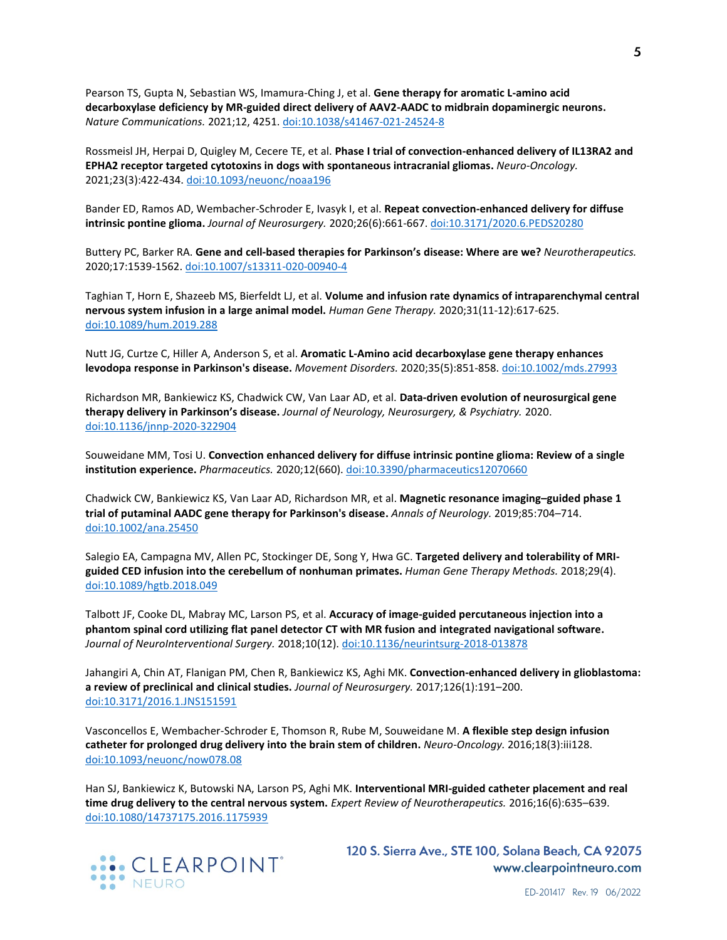Pearson TS, Gupta N, Sebastian WS, Imamura-Ching J, et al. **Gene therapy for aromatic L-amino acid decarboxylase deficiency by MR-guided direct delivery of AAV2-AADC to midbrain dopaminergic neurons.**  *Nature Communications.* 2021;12, 4251. [doi:10.1038/s41467-021-24524-8](https://www.nature.com/articles/s41467-021-24524-8)

Rossmeisl JH, Herpai D, Quigley M, Cecere TE, et al. **Phase I trial of convection-enhanced delivery of IL13RA2 and EPHA2 receptor targeted cytotoxins in dogs with spontaneous intracranial gliomas.** *Neuro-Oncology.* 2021;23(3):422-434. [doi:10.1093/neuonc/noaa196](https://academic.oup.com/neuro-oncology/article/23/3/422/5894210)

Bander ED, Ramos AD, Wembacher-Schroder E, Ivasyk I, et al. **Repeat convection-enhanced delivery for diffuse intrinsic pontine glioma.** *Journal of Neurosurgery.* 2020;26(6):661-667[. doi:10.3171/2020.6.PEDS20280](https://thejns.org/pediatrics/view/journals/j-neurosurg-pediatr/26/6/article-p661.xml)

Buttery PC, Barker RA. **Gene and cell-based therapies for Parkinson's disease: Where are we?** *Neurotherapeutics.* 2020;17:1539-1562. [doi:10.1007/s13311-020-00940-4](https://link.springer.com/article/10.1007/s13311-020-00940-4)

Taghian T, Horn E, Shazeeb MS, Bierfeldt LJ, et al. **Volume and infusion rate dynamics of intraparenchymal central nervous system infusion in a large animal model.** *Human Gene Therapy.* 2020;31(11-12):617-625. [doi:10.1089/hum.2019.288](https://www.liebertpub.com/doi/10.1089/hum.2019.288)

Nutt JG, Curtze C, Hiller A, Anderson S, et al. **Aromatic L-Amino acid decarboxylase gene therapy enhances levodopa response in Parkinson's disease.** *Movement Disorders.* 2020;35(5):851-858. [doi:10.1002/mds.27993](https://movementdisorders.onlinelibrary.wiley.com/doi/abs/10.1002/mds.27993)

Richardson MR, Bankiewicz KS, Chadwick CW, Van Laar AD, et al. **Data-driven evolution of neurosurgical gene therapy delivery in Parkinson's disease.** *Journal of Neurology, Neurosurgery, & Psychiatry.* 2020. [doi:10.1136/jnnp-2020-322904](https://jnnp.bmj.com/content/early/2020/08/20/jnnp-2020-322904)

Souweidane MM, Tosi U. **Convection enhanced delivery for diffuse intrinsic pontine glioma: Review of a single institution experience.** *Pharmaceutics.* 2020;12(660)[. doi:10.3390/pharmaceutics12070660](https://www.mdpi.com/1999-4923/12/7/660)

Chadwick CW, Bankiewicz KS, Van Laar AD, Richardson MR, et al. **Magnetic resonance imaging–guided phase 1 trial of putaminal AADC gene therapy for Parkinson's disease.** *Annals of Neurology.* 2019;85:704–714. [doi:10.1002/ana.25450](https://onlinelibrary.wiley.com/doi/abs/10.1002/ana.25450)

Salegio EA, Campagna MV, Allen PC, Stockinger DE, Song Y, Hwa GC. **Targeted delivery and tolerability of MRIguided CED infusion into the cerebellum of nonhuman primates.** *Human Gene Therapy Methods.* 2018;29(4). [doi:10.1089/hgtb.2018.049](https://www.liebertpub.com/doi/abs/10.1089/hgtb.2018.049?journalCode=hgtb)

Talbott JF, Cooke DL, Mabray MC, Larson PS, et al. **Accuracy of image-guided percutaneous injection into a phantom spinal cord utilizing flat panel detector CT with MR fusion and integrated navigational software.** *Journal of NeuroInterventional Surgery.* 2018;10(12). [doi:10.1136/neurintsurg-2018-013878](https://jnis.bmj.com/content/10/12/e37)

Jahangiri A, Chin AT, Flanigan PM, Chen R, Bankiewicz KS, Aghi MK. **Convection-enhanced delivery in glioblastoma: a review of preclinical and clinical studies.** *Journal of Neurosurgery.* 2017;126(1):191–200. [doi:10.3171/2016.1.JNS151591](https://thejns.org/view/journals/j-neurosurg/126/1/article-p191.xml)

Vasconcellos E, Wembacher-Schroder E, Thomson R, Rube M, Souweidane M. **A flexible step design infusion catheter for prolonged drug delivery into the brain stem of children.** *Neuro-Oncology.* 2016;18(3):iii128. [doi:10.1093/neuonc/now078.08](https://academic.oup.com/neuro-oncology/article/18/suppl_3/iii128/2469535)

Han SJ, Bankiewicz K, Butowski NA, Larson PS, Aghi MK. **Interventional MRI-guided catheter placement and real time drug delivery to the central nervous system.** *Expert Review of Neurotherapeutics.* 2016;16(6):635–639. [doi:10.1080/14737175.2016.1175939](https://www.tandfonline.com/doi/full/10.1080/14737175.2016.1175939)